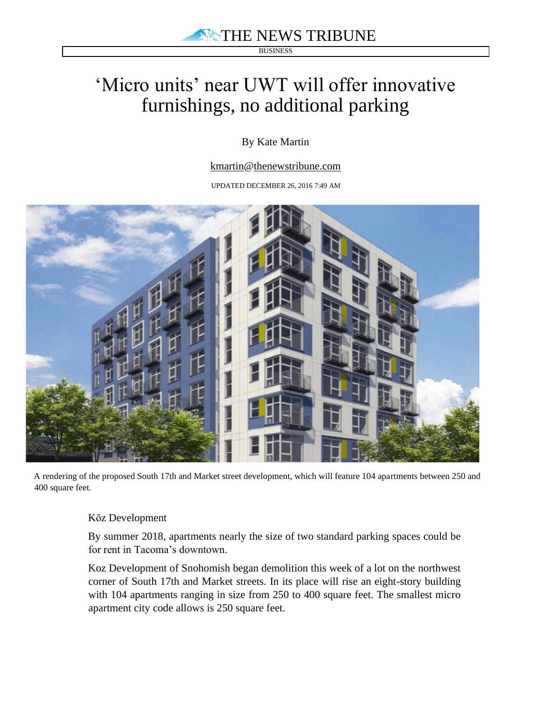**BUSINESS** 

## 'Micro units' near UWT will offer innovative furnishings, no additional parking

## By Kate Martin

kmartin@thenewstribune.com

UPDATED DECEMBER 26, 2016 7:49 AM



A rendering of the proposed South 17th and Market street development, which will feature 104 apartments between 250 and 400 square feet.

## Kōz Development

By summer 2018, apartments nearly the size of two standard parking spaces could be for rent in Tacoma's downtown.

Koz Development of Snohomish began demolition this week of a lot on the northwest corner of South 17th and Market streets. In its place will rise an eight-story building with 104 apartments ranging in size from 250 to 400 square feet. The smallest micro apartment city code allows is 250 square feet.